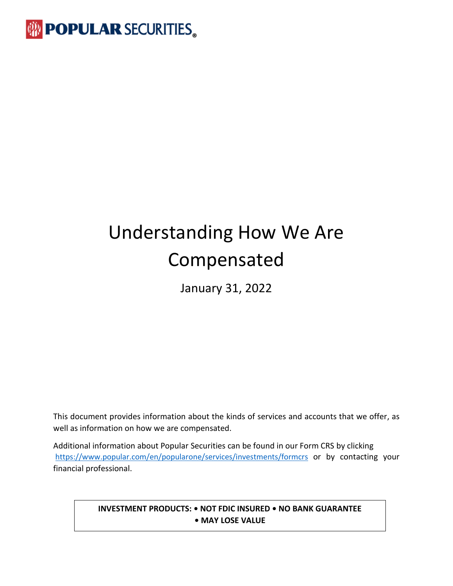

# Understanding How We Are Compensated

January 31, 2022

This document provides information about the kinds of services and accounts that we offer, as well as information on how we are compensated.

Additional information about Popular Securities can be found in our Form CRS by clicking <https://www.popular.com/en/popularone/services/investments/formcrs> or by contacting your financial professional.

### **INVESTMENT PRODUCTS: • NOT FDIC INSURED • NO BANK GUARANTEE • MAY LOSE VALUE**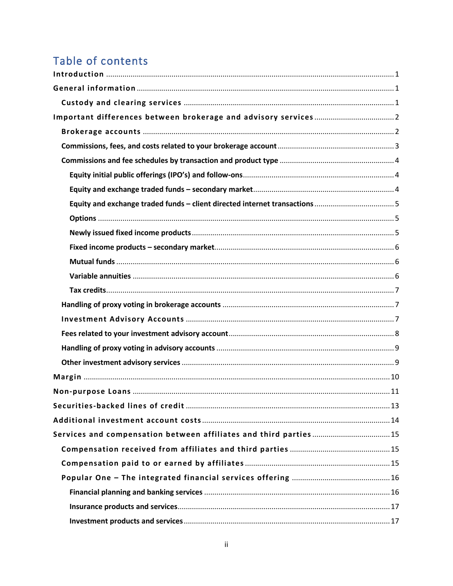## Table of contents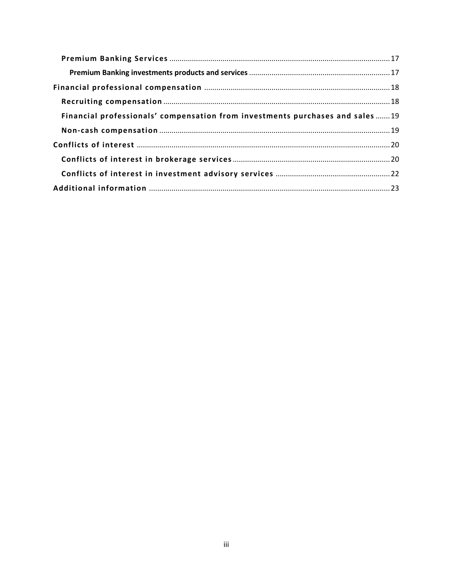| Financial professionals' compensation from investments purchases and sales 19 |  |
|-------------------------------------------------------------------------------|--|
|                                                                               |  |
|                                                                               |  |
|                                                                               |  |
|                                                                               |  |
|                                                                               |  |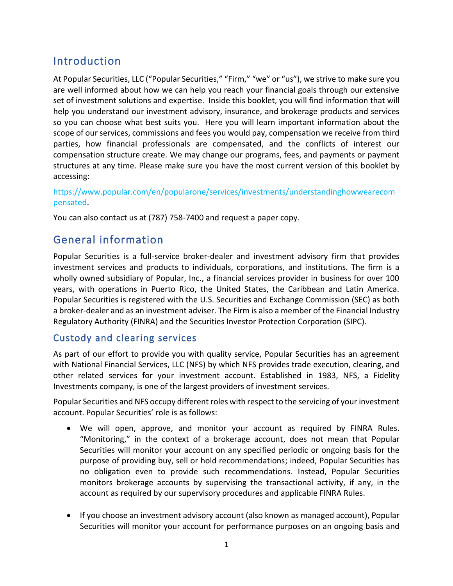### <span id="page-3-0"></span>Introduction

At Popular Securities, LLC ("Popular Securities," "Firm," "we" or "us"), we strive to make sure you are well informed about how we can help you reach your financial goals through our extensive set of investment solutions and expertise. Inside this booklet, you will find information that will help you understand our investment advisory, insurance, and brokerage products and services so you can choose what best suits you. Here you will learn important information about the scope of our services, commissions and fees you would pay, compensation we receive from third parties, how financial professionals are compensated, and the conflicts of interest our compensation structure create. We may change our programs, fees, and payments or payment structures at any time. Please make sure you have the most current version of this booklet by accessing:

https://www.popular.com/en/popularone/services/investments/understandinghowwearecom pensated.

You can also contact us at (787) 758-7400 and request a paper copy.

### <span id="page-3-1"></span>General information

Popular Securities is a full-service broker-dealer and investment advisory firm that provides investment services and products to individuals, corporations, and institutions. The firm is a wholly owned subsidiary of Popular, Inc., a financial services provider in business for over 100 years, with operations in Puerto Rico, the United States, the Caribbean and Latin America. Popular Securities is registered with the U.S. Securities and Exchange Commission (SEC) as both a broker-dealer and as an investment adviser. The Firm is also a member of the Financial Industry Regulatory Authority (FINRA) and the Securities Investor Protection Corporation (SIPC).

### <span id="page-3-2"></span>Custody and clearing services

As part of our effort to provide you with quality service, Popular Securities has an agreement with National Financial Services, LLC (NFS) by which NFS provides trade execution, clearing, and other related services for your investment account. Established in 1983, NFS, a Fidelity Investments company, is one of the largest providers of investment services.

Popular Securities and NFS occupy different roles with respect to the servicing of your investment account. Popular Securities' role is as follows:

- We will open, approve, and monitor your account as required by FINRA Rules. "Monitoring," in the context of a brokerage account, does not mean that Popular Securities will monitor your account on any specified periodic or ongoing basis for the purpose of providing buy, sell or hold recommendations; indeed, Popular Securities has no obligation even to provide such recommendations. Instead, Popular Securities monitors brokerage accounts by supervising the transactional activity, if any, in the account as required by our supervisory procedures and applicable FINRA Rules.
- If you choose an investment advisory account (also known as managed account), Popular Securities will monitor your account for performance purposes on an ongoing basis and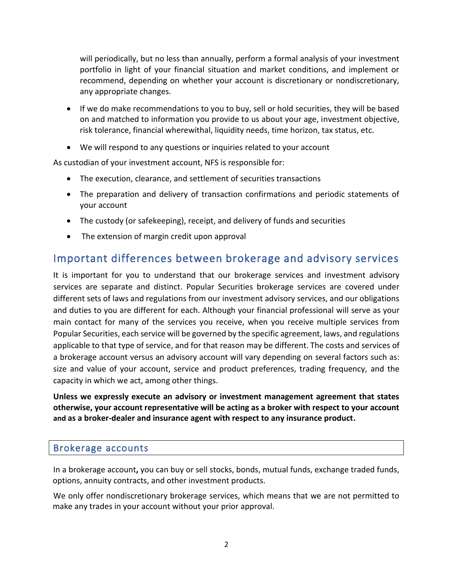will periodically, but no less than annually, perform a formal analysis of your investment portfolio in light of your financial situation and market conditions, and implement or recommend, depending on whether your account is discretionary or nondiscretionary, any appropriate changes.

- If we do make recommendations to you to buy, sell or hold securities, they will be based on and matched to information you provide to us about your age, investment objective, risk tolerance, financial wherewithal, liquidity needs, time horizon, tax status, etc.
- We will respond to any questions or inquiries related to your account

As custodian of your investment account, NFS is responsible for:

- The execution, clearance, and settlement of securities transactions
- The preparation and delivery of transaction confirmations and periodic statements of your account
- The custody (or safekeeping), receipt, and delivery of funds and securities
- The extension of margin credit upon approval

### <span id="page-4-0"></span>Important differences between brokerage and advisory services

It is important for you to understand that our brokerage services and investment advisory services are separate and distinct. Popular Securities brokerage services are covered under different sets of laws and regulations from our investment advisory services, and our obligations and duties to you are different for each. Although your financial professional will serve as your main contact for many of the services you receive, when you receive multiple services from Popular Securities, each service will be governed by the specific agreement, laws, and regulations applicable to that type of service, and for that reason may be different. The costs and services of a brokerage account versus an advisory account will vary depending on several factors such as: size and value of your account, service and product preferences, trading frequency, and the capacity in which we act, among other things.

**Unless we expressly execute an advisory or investment management agreement that states otherwise, your account representative will be acting as a broker with respect to your account and as a broker-dealer and insurance agent with respect to any insurance product.**

### <span id="page-4-1"></span>Brokerage accounts

In a brokerage account**,** you can buy or sell stocks, bonds, mutual funds, exchange traded funds, options, annuity contracts, and other investment products.

We only offer nondiscretionary brokerage services, which means that we are not permitted to make any trades in your account without your prior approval.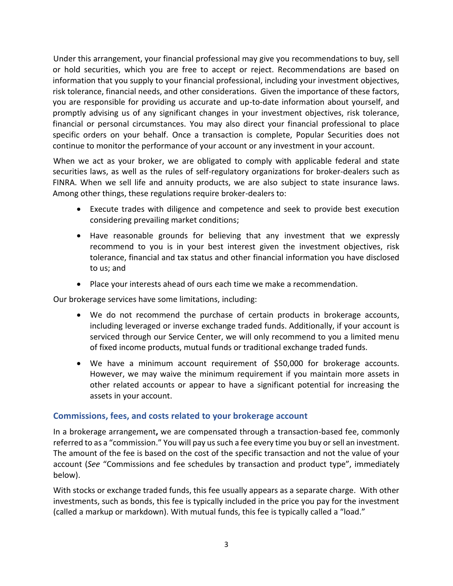Under this arrangement, your financial professional may give you recommendations to buy, sell or hold securities, which you are free to accept or reject. Recommendations are based on information that you supply to your financial professional, including your investment objectives, risk tolerance, financial needs, and other considerations. Given the importance of these factors, you are responsible for providing us accurate and up-to-date information about yourself, and promptly advising us of any significant changes in your investment objectives, risk tolerance, financial or personal circumstances. You may also direct your financial professional to place specific orders on your behalf. Once a transaction is complete, Popular Securities does not continue to monitor the performance of your account or any investment in your account.

When we act as your broker, we are obligated to comply with applicable federal and state securities laws, as well as the rules of self-regulatory organizations for broker-dealers such as FINRA. When we sell life and annuity products, we are also subject to state insurance laws. Among other things, these regulations require broker-dealers to:

- Execute trades with diligence and competence and seek to provide best execution considering prevailing market conditions;
- Have reasonable grounds for believing that any investment that we expressly recommend to you is in your best interest given the investment objectives, risk tolerance, financial and tax status and other financial information you have disclosed to us; and
- Place your interests ahead of ours each time we make a recommendation.

Our brokerage services have some limitations, including:

- We do not recommend the purchase of certain products in brokerage accounts, including leveraged or inverse exchange traded funds. Additionally, if your account is serviced through our Service Center, we will only recommend to you a limited menu of fixed income products, mutual funds or traditional exchange traded funds.
- We have a minimum account requirement of \$50,000 for brokerage accounts. However, we may waive the minimum requirement if you maintain more assets in other related accounts or appear to have a significant potential for increasing the assets in your account.

#### <span id="page-5-0"></span>**Commissions, fees, and costs related to your brokerage account**

In a brokerage arrangement**,** we are compensated through a transaction-based fee, commonly referred to as a "commission." You will pay us such a fee every time you buy or sell an investment. The amount of the fee is based on the cost of the specific transaction and not the value of your account (*See* "Commissions and fee schedules by transaction and product type", immediately below).

With stocks or exchange traded funds, this fee usually appears as a separate charge. With other investments, such as bonds, this fee is typically included in the price you pay for the investment (called a markup or markdown). With mutual funds, this fee is typically called a "load."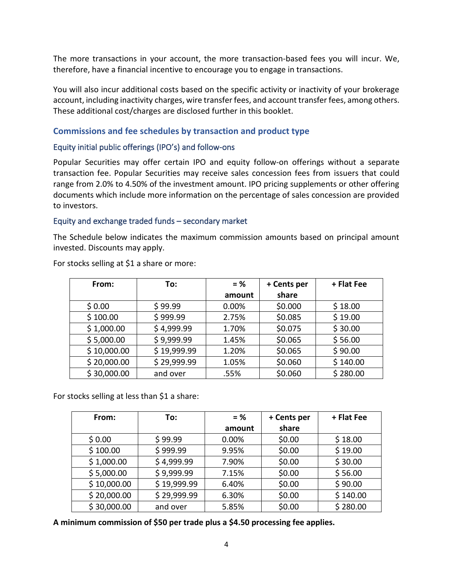The more transactions in your account, the more transaction-based fees you will incur. We, therefore, have a financial incentive to encourage you to engage in transactions.

You will also incur additional costs based on the specific activity or inactivity of your brokerage account, including inactivity charges, wire transfer fees, and account transfer fees, among others. These additional cost/charges are disclosed further in this booklet.

#### <span id="page-6-0"></span>**Commissions and fee schedules by transaction and product type**

#### <span id="page-6-1"></span>Equity initial public offerings (IPO's) and follow-ons

Popular Securities may offer certain IPO and equity follow-on offerings without a separate transaction fee. Popular Securities may receive sales concession fees from issuers that could range from 2.0% to 4.50% of the investment amount. IPO pricing supplements or other offering documents which include more information on the percentage of sales concession are provided to investors.

#### <span id="page-6-2"></span>Equity and exchange traded funds – secondary market

The Schedule below indicates the maximum commission amounts based on principal amount invested. Discounts may apply.

| From:       | To:         | $=$ %  | + Cents per | + Flat Fee |
|-------------|-------------|--------|-------------|------------|
|             |             | amount | share       |            |
| \$0.00      | \$99.99     | 0.00%  | \$0.000     | \$18.00    |
| \$100.00    | \$999.99    | 2.75%  | \$0.085     | \$19.00    |
| \$1,000.00  | \$4,999.99  | 1.70%  | \$0.075     | \$30.00    |
| \$5,000.00  | \$9,999.99  | 1.45%  | \$0.065     | \$56.00    |
| \$10,000.00 | \$19,999.99 | 1.20%  | \$0.065     | \$90.00    |
| \$20,000.00 | \$29,999.99 | 1.05%  | \$0.060     | \$140.00   |
| \$30,000.00 | and over    | .55%   | \$0.060     | \$280.00   |

For stocks selling at \$1 a share or more:

For stocks selling at less than \$1 a share:

| From:       | To:         | $=$ %  | + Cents per | + Flat Fee |
|-------------|-------------|--------|-------------|------------|
|             |             | amount | share       |            |
| \$0.00      | \$99.99     | 0.00%  | \$0.00      | \$18.00    |
| \$100.00    | \$999.99    | 9.95%  | \$0.00      | \$19.00    |
| \$1,000.00  | \$4,999.99  | 7.90%  | \$0.00      | \$30.00    |
| \$5,000.00  | \$9,999.99  | 7.15%  | \$0.00      | \$56.00    |
| \$10,000.00 | \$19,999.99 | 6.40%  | \$0.00      | \$90.00    |
| \$20,000.00 | \$29,999.99 | 6.30%  | \$0.00      | \$140.00   |
| \$30,000.00 | and over    | 5.85%  | \$0.00      | \$280.00   |

**A minimum commission of \$50 per trade plus a \$4.50 processing fee applies.**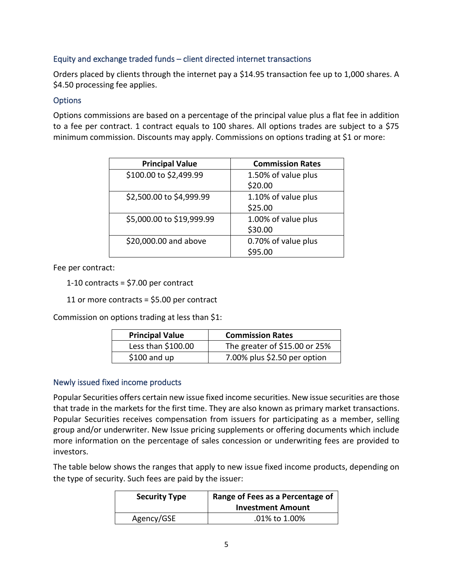### <span id="page-7-0"></span>Equity and exchange traded funds – client directed internet transactions

Orders placed by clients through the internet pay a \$14.95 transaction fee up to 1,000 shares. A \$4.50 processing fee applies.

### <span id="page-7-1"></span>**Options**

Options commissions are based on a percentage of the principal value plus a flat fee in addition to a fee per contract. 1 contract equals to 100 shares. All options trades are subject to a \$75 minimum commission. Discounts may apply. Commissions on options trading at \$1 or more:

| <b>Principal Value</b>    | <b>Commission Rates</b> |
|---------------------------|-------------------------|
| \$100.00 to \$2,499.99    | 1.50% of value plus     |
|                           | \$20.00                 |
| \$2,500.00 to \$4,999.99  | 1.10% of value plus     |
|                           | \$25.00                 |
| \$5,000.00 to \$19,999.99 | 1.00% of value plus     |
|                           | \$30.00                 |
| \$20,000.00 and above     | 0.70% of value plus     |
|                           | \$95.00                 |

Fee per contract:

1-10 contracts = \$7.00 per contract

11 or more contracts = \$5.00 per contract

Commission on options trading at less than \$1:

| <b>Principal Value</b> | <b>Commission Rates</b>       |
|------------------------|-------------------------------|
| Less than \$100.00     | The greater of \$15.00 or 25% |
| $$100$ and up          | 7.00% plus \$2.50 per option  |

#### <span id="page-7-2"></span>Newly issued fixed income products

Popular Securities offers certain new issue fixed income securities. New issue securities are those that trade in the markets for the first time. They are also known as primary market transactions. Popular Securities receives compensation from issuers for participating as a member, selling group and/or underwriter. New Issue pricing supplements or offering documents which include more information on the percentage of sales concession or underwriting fees are provided to investors.

The table below shows the ranges that apply to new issue fixed income products, depending on the type of security. Such fees are paid by the issuer:

| <b>Security Type</b> | Range of Fees as a Percentage of<br><b>Investment Amount</b> |
|----------------------|--------------------------------------------------------------|
| Agency/GSE           | .01% to 1.00%                                                |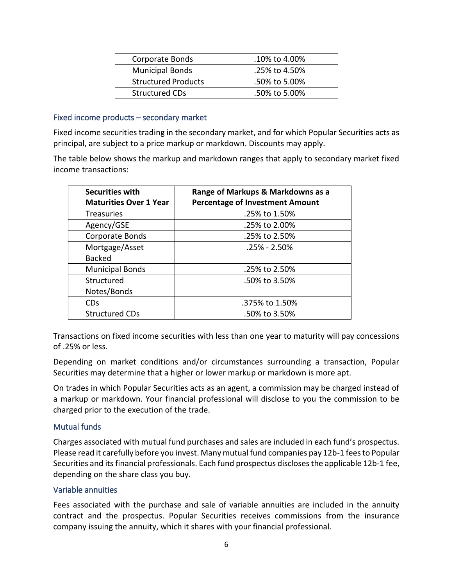| Corporate Bonds            | $.10\%$ to 4.00% |
|----------------------------|------------------|
| <b>Municipal Bonds</b>     | .25% to 4.50%    |
| <b>Structured Products</b> | .50% to 5.00%    |
| <b>Structured CDs</b>      | .50% to 5.00%    |

#### <span id="page-8-0"></span>Fixed income products – secondary market

Fixed income securities trading in the secondary market, and for which Popular Securities acts as principal, are subject to a price markup or markdown. Discounts may apply.

The table below shows the markup and markdown ranges that apply to secondary market fixed income transactions:

| <b>Securities with</b>        | Range of Markups & Markdowns as a      |
|-------------------------------|----------------------------------------|
| <b>Maturities Over 1 Year</b> | <b>Percentage of Investment Amount</b> |
| <b>Treasuries</b>             | .25% to 1.50%                          |
| Agency/GSE                    | .25% to 2.00%                          |
| Corporate Bonds               | .25% to 2.50%                          |
| Mortgage/Asset                | .25% - 2.50%                           |
| <b>Backed</b>                 |                                        |
| <b>Municipal Bonds</b>        | .25% to 2.50%                          |
| Structured                    | .50% to 3.50%                          |
| Notes/Bonds                   |                                        |
| <b>CD<sub>s</sub></b>         | .375% to 1.50%                         |
| <b>Structured CDs</b>         | .50% to 3.50%                          |

Transactions on fixed income securities with less than one year to maturity will pay concessions of .25% or less.

Depending on market conditions and/or circumstances surrounding a transaction, Popular Securities may determine that a higher or lower markup or markdown is more apt.

On trades in which Popular Securities acts as an agent, a commission may be charged instead of a markup or markdown. Your financial professional will disclose to you the commission to be charged prior to the execution of the trade.

#### <span id="page-8-1"></span>Mutual funds

Charges associated with mutual fund purchases and sales are included in each fund's prospectus. Please read it carefully before you invest. Many mutual fund companies pay 12b-1 fees to Popular Securities and its financial professionals. Each fund prospectus discloses the applicable 12b-1 fee, depending on the share class you buy.

#### <span id="page-8-2"></span>Variable annuities

Fees associated with the purchase and sale of variable annuities are included in the annuity contract and the prospectus. Popular Securities receives commissions from the insurance company issuing the annuity, which it shares with your financial professional.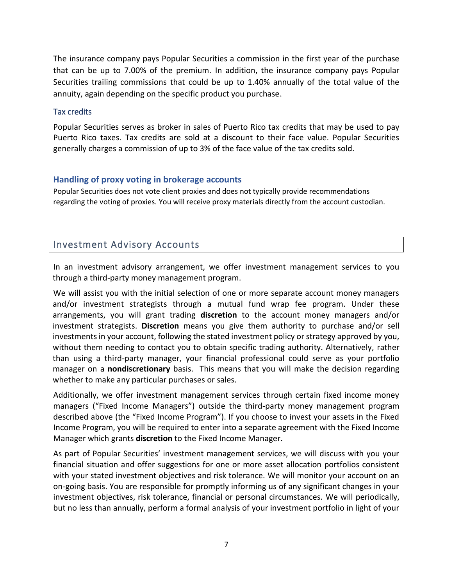The insurance company pays Popular Securities a commission in the first year of the purchase that can be up to 7.00% of the premium. In addition, the insurance company pays Popular Securities trailing commissions that could be up to 1.40% annually of the total value of the annuity, again depending on the specific product you purchase.

#### <span id="page-9-0"></span>Tax credits

Popular Securities serves as broker in sales of Puerto Rico tax credits that may be used to pay Puerto Rico taxes. Tax credits are sold at a discount to their face value. Popular Securities generally charges a commission of up to 3% of the face value of the tax credits sold.

### <span id="page-9-1"></span>**Handling of proxy voting in brokerage accounts**

Popular Securities does not vote client proxies and does not typically provide recommendations regarding the voting of proxies. You will receive proxy materials directly from the account custodian.

### <span id="page-9-2"></span>Investment Advisory Accounts

In an investment advisory arrangement, we offer investment management services to you through a third-party money management program.

We will assist you with the initial selection of one or more separate account money managers and/or investment strategists through a mutual fund wrap fee program. Under these arrangements, you will grant trading **discretion** to the account money managers and/or investment strategists. **Discretion** means you give them authority to purchase and/or sell investments in your account, following the stated investment policy or strategy approved by you, without them needing to contact you to obtain specific trading authority. Alternatively, rather than using a third-party manager, your financial professional could serve as your portfolio manager on a **nondiscretionary** basis. This means that you will make the decision regarding whether to make any particular purchases or sales.

Additionally, we offer investment management services through certain fixed income money managers ("Fixed Income Managers") outside the third-party money management program described above (the "Fixed Income Program"). If you choose to invest your assets in the Fixed Income Program, you will be required to enter into a separate agreement with the Fixed Income Manager which grants **discretion** to the Fixed Income Manager.

As part of Popular Securities' investment management services, we will discuss with you your financial situation and offer suggestions for one or more asset allocation portfolios consistent with your stated investment objectives and risk tolerance. We will monitor your account on an on-going basis. You are responsible for promptly informing us of any significant changes in your investment objectives, risk tolerance, financial or personal circumstances. We will periodically, but no less than annually, perform a formal analysis of your investment portfolio in light of your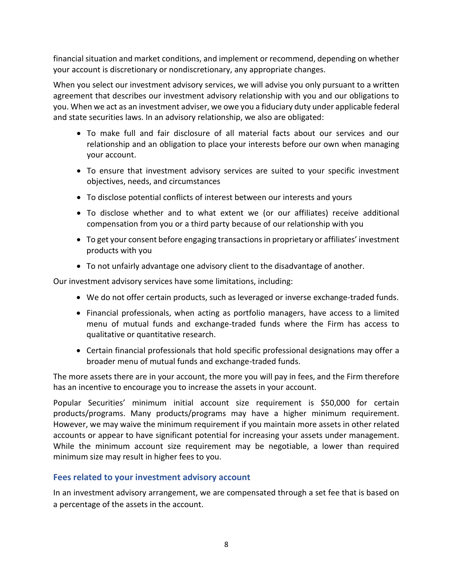financial situation and market conditions, and implement or recommend, depending on whether your account is discretionary or nondiscretionary, any appropriate changes.

When you select our investment advisory services, we will advise you only pursuant to a written agreement that describes our investment advisory relationship with you and our obligations to you. When we act as an investment adviser, we owe you a fiduciary duty under applicable federal and state securities laws. In an advisory relationship, we also are obligated:

- To make full and fair disclosure of all material facts about our services and our relationship and an obligation to place your interests before our own when managing your account.
- To ensure that investment advisory services are suited to your specific investment objectives, needs, and circumstances
- To disclose potential conflicts of interest between our interests and yours
- To disclose whether and to what extent we (or our affiliates) receive additional compensation from you or a third party because of our relationship with you
- To get your consent before engaging transactions in proprietary or affiliates' investment products with you
- To not unfairly advantage one advisory client to the disadvantage of another.

Our investment advisory services have some limitations, including:

- We do not offer certain products, such as leveraged or inverse exchange-traded funds.
- Financial professionals, when acting as portfolio managers, have access to a limited menu of mutual funds and exchange-traded funds where the Firm has access to qualitative or quantitative research.
- Certain financial professionals that hold specific professional designations may offer a broader menu of mutual funds and exchange-traded funds.

The more assets there are in your account, the more you will pay in fees, and the Firm therefore has an incentive to encourage you to increase the assets in your account.

Popular Securities' minimum initial account size requirement is \$50,000 for certain products/programs. Many products/programs may have a higher minimum requirement. However, we may waive the minimum requirement if you maintain more assets in other related accounts or appear to have significant potential for increasing your assets under management. While the minimum account size requirement may be negotiable, a lower than required minimum size may result in higher fees to you.

#### <span id="page-10-0"></span>**Fees related to your investment advisory account**

In an investment advisory arrangement, we are compensated through a set fee that is based on a percentage of the assets in the account.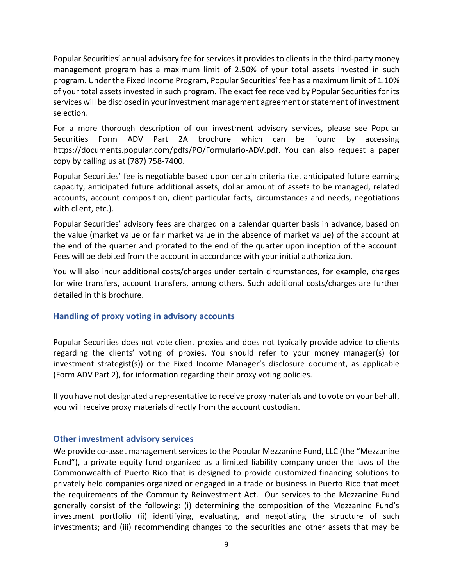Popular Securities' annual advisory fee for services it provides to clients in the third-party money management program has a maximum limit of 2.50% of your total assets invested in such program. Under the Fixed Income Program, Popular Securities' fee has a maximum limit of 1.10% of your total assets invested in such program. The exact fee received by Popular Securities for its services will be disclosed in your investment management agreement or statement of investment selection.

For a more thorough description of our investment advisory services, please see Popular Securities Form ADV Part 2A brochure which can be found by accessing https://documents.popular.com/pdfs/PO/Formulario-ADV.pdf. You can also request a paper copy by calling us at (787) 758-7400.

Popular Securities' fee is negotiable based upon certain criteria (i.e. anticipated future earning capacity, anticipated future additional assets, dollar amount of assets to be managed, related accounts, account composition, client particular facts, circumstances and needs, negotiations with client, etc.).

Popular Securities' advisory fees are charged on a calendar quarter basis in advance, based on the value (market value or fair market value in the absence of market value) of the account at the end of the quarter and prorated to the end of the quarter upon inception of the account. Fees will be debited from the account in accordance with your initial authorization.

You will also incur additional costs/charges under certain circumstances, for example, charges for wire transfers, account transfers, among others. Such additional costs/charges are further detailed in this brochure.

#### <span id="page-11-0"></span>**Handling of proxy voting in advisory accounts**

Popular Securities does not vote client proxies and does not typically provide advice to clients regarding the clients' voting of proxies. You should refer to your money manager(s) (or investment strategist(s)) or the Fixed Income Manager's disclosure document, as applicable (Form ADV Part 2), for information regarding their proxy voting policies.

If you have not designated a representative to receive proxy materials and to vote on your behalf, you will receive proxy materials directly from the account custodian.

#### <span id="page-11-1"></span>**Other investment advisory services**

We provide co-asset management services to the Popular Mezzanine Fund, LLC (the "Mezzanine Fund"), a private equity fund organized as a limited liability company under the laws of the Commonwealth of Puerto Rico that is designed to provide customized financing solutions to privately held companies organized or engaged in a trade or business in Puerto Rico that meet the requirements of the Community Reinvestment Act. Our services to the Mezzanine Fund generally consist of the following: (i) determining the composition of the Mezzanine Fund's investment portfolio (ii) identifying, evaluating, and negotiating the structure of such investments; and (iii) recommending changes to the securities and other assets that may be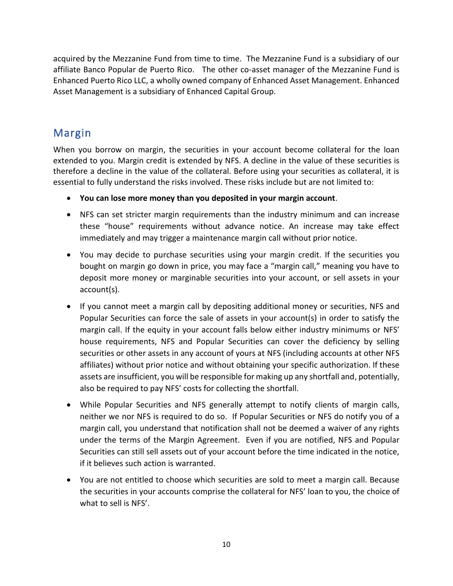acquired by the Mezzanine Fund from time to time. The Mezzanine Fund is a subsidiary of our affiliate Banco Popular de Puerto Rico. The other co-asset manager of the Mezzanine Fund is Enhanced Puerto Rico LLC, a wholly owned company of Enhanced Asset Management. Enhanced Asset Management is a subsidiary of Enhanced Capital Group.

### <span id="page-12-0"></span>Margin

When you borrow on margin, the securities in your account become collateral for the loan extended to you. Margin credit is extended by NFS. A decline in the value of these securities is therefore a decline in the value of the collateral. Before using your securities as collateral, it is essential to fully understand the risks involved. These risks include but are not limited to:

- **You can lose more money than you deposited in your margin account**.
- NFS can set stricter margin requirements than the industry minimum and can increase these "house" requirements without advance notice. An increase may take effect immediately and may trigger a maintenance margin call without prior notice.
- You may decide to purchase securities using your margin credit. If the securities you bought on margin go down in price, you may face a "margin call," meaning you have to deposit more money or marginable securities into your account, or sell assets in your account(s).
- If you cannot meet a margin call by depositing additional money or securities, NFS and Popular Securities can force the sale of assets in your account(s) in order to satisfy the margin call. If the equity in your account falls below either industry minimums or NFS' house requirements, NFS and Popular Securities can cover the deficiency by selling securities or other assets in any account of yours at NFS (including accounts at other NFS affiliates) without prior notice and without obtaining your specific authorization. If these assets are insufficient, you will be responsible for making up any shortfall and, potentially, also be required to pay NFS' costs for collecting the shortfall.
- While Popular Securities and NFS generally attempt to notify clients of margin calls, neither we nor NFS is required to do so. If Popular Securities or NFS do notify you of a margin call, you understand that notification shall not be deemed a waiver of any rights under the terms of the Margin Agreement. Even if you are notified, NFS and Popular Securities can still sell assets out of your account before the time indicated in the notice, if it believes such action is warranted.
- You are not entitled to choose which securities are sold to meet a margin call. Because the securities in your accounts comprise the collateral for NFS' loan to you, the choice of what to sell is NFS'.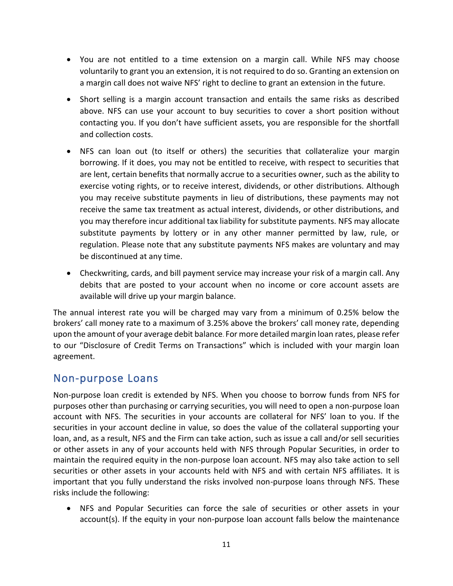- You are not entitled to a time extension on a margin call. While NFS may choose voluntarily to grant you an extension, it is not required to do so. Granting an extension on a margin call does not waive NFS' right to decline to grant an extension in the future.
- Short selling is a margin account transaction and entails the same risks as described above. NFS can use your account to buy securities to cover a short position without contacting you. If you don't have sufficient assets, you are responsible for the shortfall and collection costs.
- NFS can loan out (to itself or others) the securities that collateralize your margin borrowing. If it does, you may not be entitled to receive, with respect to securities that are lent, certain benefits that normally accrue to a securities owner, such as the ability to exercise voting rights, or to receive interest, dividends, or other distributions. Although you may receive substitute payments in lieu of distributions, these payments may not receive the same tax treatment as actual interest, dividends, or other distributions, and you may therefore incur additional tax liability for substitute payments. NFS may allocate substitute payments by lottery or in any other manner permitted by law, rule, or regulation. Please note that any substitute payments NFS makes are voluntary and may be discontinued at any time.
- Checkwriting, cards, and bill payment service may increase your risk of a margin call. Any debits that are posted to your account when no income or core account assets are available will drive up your margin balance.

The annual interest rate you will be charged may vary from a minimum of 0.25% below the brokers' call money rate to a maximum of 3.25% above the brokers' call money rate, depending upon the amount of your average debit balance. For more detailed margin loan rates, please refer to our "Disclosure of Credit Terms on Transactions" which is included with your margin loan agreement.

### <span id="page-13-0"></span>Non-purpose Loans

Non-purpose loan credit is extended by NFS. When you choose to borrow funds from NFS for purposes other than purchasing or carrying securities, you will need to open a non-purpose loan account with NFS. The securities in your accounts are collateral for NFS' loan to you. If the securities in your account decline in value, so does the value of the collateral supporting your loan, and, as a result, NFS and the Firm can take action, such as issue a call and/or sell securities or other assets in any of your accounts held with NFS through Popular Securities, in order to maintain the required equity in the non-purpose loan account. NFS may also take action to sell securities or other assets in your accounts held with NFS and with certain NFS affiliates. It is important that you fully understand the risks involved non-purpose loans through NFS. These risks include the following:

• NFS and Popular Securities can force the sale of securities or other assets in your account(s). If the equity in your non-purpose loan account falls below the maintenance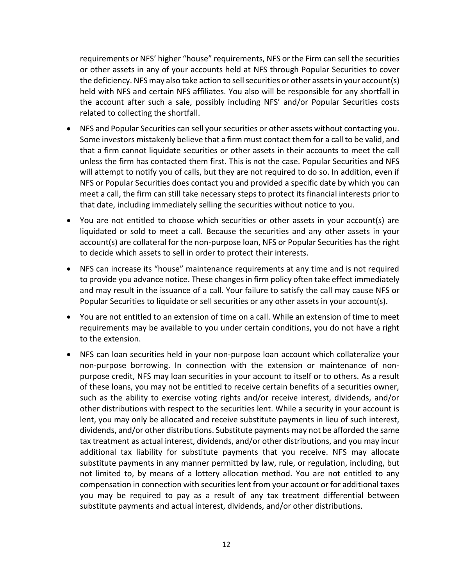requirements or NFS' higher "house" requirements, NFS or the Firm can sell the securities or other assets in any of your accounts held at NFS through Popular Securities to cover the deficiency. NFS may also take action to sell securities or other assets in your account(s) held with NFS and certain NFS affiliates. You also will be responsible for any shortfall in the account after such a sale, possibly including NFS' and/or Popular Securities costs related to collecting the shortfall.

- NFS and Popular Securities can sell your securities or other assets without contacting you. Some investors mistakenly believe that a firm must contact them for a call to be valid, and that a firm cannot liquidate securities or other assets in their accounts to meet the call unless the firm has contacted them first. This is not the case. Popular Securities and NFS will attempt to notify you of calls, but they are not required to do so. In addition, even if NFS or Popular Securities does contact you and provided a specific date by which you can meet a call, the firm can still take necessary steps to protect its financial interests prior to that date, including immediately selling the securities without notice to you.
- You are not entitled to choose which securities or other assets in your account(s) are liquidated or sold to meet a call. Because the securities and any other assets in your account(s) are collateral for the non-purpose loan, NFS or Popular Securities has the right to decide which assets to sell in order to protect their interests.
- NFS can increase its "house" maintenance requirements at any time and is not required to provide you advance notice. These changes in firm policy often take effect immediately and may result in the issuance of a call. Your failure to satisfy the call may cause NFS or Popular Securities to liquidate or sell securities or any other assets in your account(s).
- You are not entitled to an extension of time on a call. While an extension of time to meet requirements may be available to you under certain conditions, you do not have a right to the extension.
- NFS can loan securities held in your non-purpose loan account which collateralize your non-purpose borrowing. In connection with the extension or maintenance of nonpurpose credit, NFS may loan securities in your account to itself or to others. As a result of these loans, you may not be entitled to receive certain benefits of a securities owner, such as the ability to exercise voting rights and/or receive interest, dividends, and/or other distributions with respect to the securities lent. While a security in your account is lent, you may only be allocated and receive substitute payments in lieu of such interest, dividends, and/or other distributions. Substitute payments may not be afforded the same tax treatment as actual interest, dividends, and/or other distributions, and you may incur additional tax liability for substitute payments that you receive. NFS may allocate substitute payments in any manner permitted by law, rule, or regulation, including, but not limited to, by means of a lottery allocation method. You are not entitled to any compensation in connection with securities lent from your account or for additional taxes you may be required to pay as a result of any tax treatment differential between substitute payments and actual interest, dividends, and/or other distributions.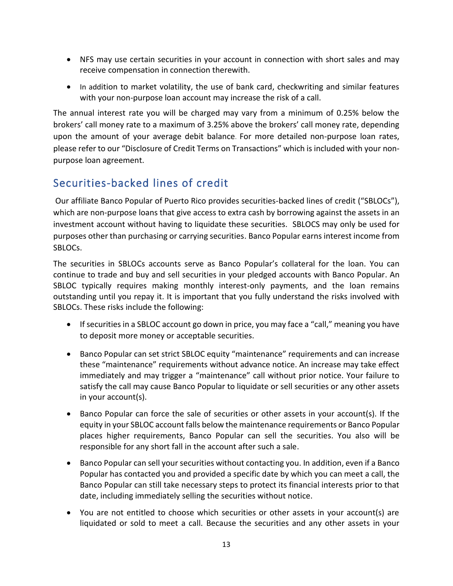- NFS may use certain securities in your account in connection with short sales and may receive compensation in connection therewith.
- In addition to market volatility, the use of bank card, checkwriting and similar features with your non-purpose loan account may increase the risk of a call.

The annual interest rate you will be charged may vary from a minimum of 0.25% below the brokers' call money rate to a maximum of 3.25% above the brokers' call money rate, depending upon the amount of your average debit balance. For more detailed non-purpose loan rates, please refer to our "Disclosure of Credit Terms on Transactions" which is included with your nonpurpose loan agreement.

### <span id="page-15-0"></span>Securities-backed lines of credit

Our affiliate Banco Popular of Puerto Rico provides securities-backed lines of credit ("SBLOCs"), which are non-purpose loans that give access to extra cash by borrowing against the assets in an investment account without having to liquidate these securities. SBLOCS may only be used for purposes other than purchasing or carrying securities. Banco Popular earns interest income from SBLOCs.

The securities in SBLOCs accounts serve as Banco Popular's collateral for the loan. You can continue to trade and buy and sell securities in your pledged accounts with Banco Popular. An SBLOC typically requires making monthly interest-only payments, and the loan remains outstanding until you repay it. It is important that you fully understand the risks involved with SBLOCs. These risks include the following:

- If securities in a SBLOC account go down in price, you may face a "call," meaning you have to deposit more money or acceptable securities.
- Banco Popular can set strict SBLOC equity "maintenance" requirements and can increase these "maintenance" requirements without advance notice. An increase may take effect immediately and may trigger a "maintenance" call without prior notice. Your failure to satisfy the call may cause Banco Popular to liquidate or sell securities or any other assets in your account(s).
- Banco Popular can force the sale of securities or other assets in your account(s). If the equity in your SBLOC account falls below the maintenance requirements or Banco Popular places higher requirements, Banco Popular can sell the securities. You also will be responsible for any short fall in the account after such a sale.
- Banco Popular can sell your securities without contacting you. In addition, even if a Banco Popular has contacted you and provided a specific date by which you can meet a call, the Banco Popular can still take necessary steps to protect its financial interests prior to that date, including immediately selling the securities without notice.
- You are not entitled to choose which securities or other assets in your account(s) are liquidated or sold to meet a call. Because the securities and any other assets in your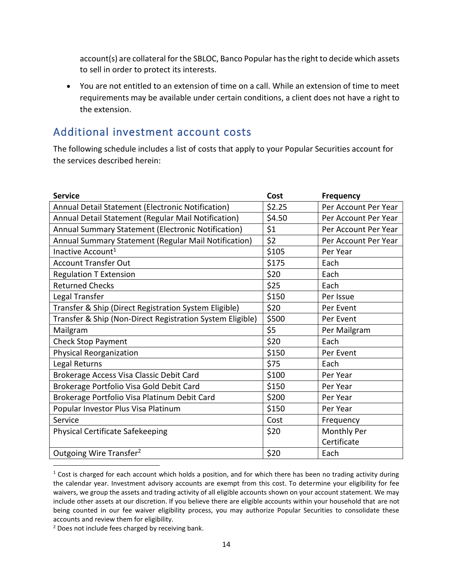account(s) are collateral for the SBLOC, Banco Popular has the right to decide which assets to sell in order to protect its interests.

• You are not entitled to an extension of time on a call. While an extension of time to meet requirements may be available under certain conditions, a client does not have a right to the extension.

### <span id="page-16-0"></span>Additional investment account costs

The following schedule includes a list of costs that apply to your Popular Securities account for the services described herein:

| <b>Service</b>                                            | Cost   | <b>Frequency</b>     |
|-----------------------------------------------------------|--------|----------------------|
| Annual Detail Statement (Electronic Notification)         | \$2.25 | Per Account Per Year |
| Annual Detail Statement (Regular Mail Notification)       | \$4.50 | Per Account Per Year |
| Annual Summary Statement (Electronic Notification)        | \$1    | Per Account Per Year |
| Annual Summary Statement (Regular Mail Notification)      | \$2    | Per Account Per Year |
| Inactive Account <sup>1</sup>                             | \$105  | Per Year             |
| <b>Account Transfer Out</b>                               | \$175  | Each                 |
| <b>Regulation T Extension</b>                             | \$20   | Each                 |
| <b>Returned Checks</b>                                    | \$25   | Each                 |
| Legal Transfer                                            | \$150  | Per Issue            |
| Transfer & Ship (Direct Registration System Eligible)     | \$20   | Per Event            |
| Transfer & Ship (Non-Direct Registration System Eligible) | \$500  | Per Event            |
| Mailgram                                                  | \$5    | Per Mailgram         |
| <b>Check Stop Payment</b>                                 | \$20   | Each                 |
| Physical Reorganization                                   | \$150  | Per Event            |
| Legal Returns                                             | \$75   | Each                 |
| Brokerage Access Visa Classic Debit Card                  | \$100  | Per Year             |
| Brokerage Portfolio Visa Gold Debit Card                  | \$150  | Per Year             |
| Brokerage Portfolio Visa Platinum Debit Card              | \$200  | Per Year             |
| Popular Investor Plus Visa Platinum                       | \$150  | Per Year             |
| Service                                                   | Cost   | Frequency            |
| Physical Certificate Safekeeping                          | \$20   | Monthly Per          |
|                                                           |        | Certificate          |
| Outgoing Wire Transfer <sup>2</sup>                       | \$20   | Each                 |

 $1$  Cost is charged for each account which holds a position, and for which there has been no trading activity during the calendar year. Investment advisory accounts are exempt from this cost. To determine your eligibility for fee waivers, we group the assets and trading activity of all eligible accounts shown on your account statement. We may include other assets at our discretion. If you believe there are eligible accounts within your household that are not being counted in our fee waiver eligibility process, you may authorize Popular Securities to consolidate these accounts and review them for eligibility.

<sup>&</sup>lt;sup>2</sup> Does not include fees charged by receiving bank.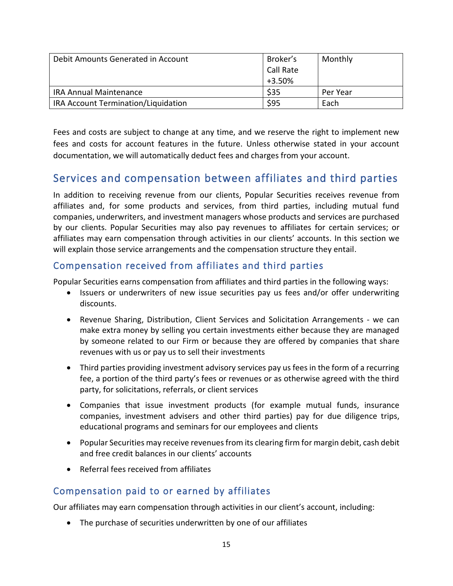| Debit Amounts Generated in Account  | Broker's<br>Call Rate<br>$+3.50%$ | Monthly  |
|-------------------------------------|-----------------------------------|----------|
| <b>IRA Annual Maintenance</b>       | \$35                              | Per Year |
| IRA Account Termination/Liquidation | \$95                              | Each     |

Fees and costs are subject to change at any time, and we reserve the right to implement new fees and costs for account features in the future. Unless otherwise stated in your account documentation, we will automatically deduct fees and charges from your account.

### <span id="page-17-0"></span>Services and compensation between affiliates and third parties

In addition to receiving revenue from our clients, Popular Securities receives revenue from affiliates and, for some products and services, from third parties, including mutual fund companies, underwriters, and investment managers whose products and services are purchased by our clients. Popular Securities may also pay revenues to affiliates for certain services; or affiliates may earn compensation through activities in our clients' accounts. In this section we will explain those service arrangements and the compensation structure they entail.

### <span id="page-17-1"></span>Compensation received from affiliates and third parties

Popular Securities earns compensation from affiliates and third parties in the following ways:

- Issuers or underwriters of new issue securities pay us fees and/or offer underwriting discounts.
- Revenue Sharing, Distribution, Client Services and Solicitation Arrangements we can make extra money by selling you certain investments either because they are managed by someone related to our Firm or because they are offered by companies that share revenues with us or pay us to sell their investments
- Third parties providing investment advisory services pay us fees in the form of a recurring fee, a portion of the third party's fees or revenues or as otherwise agreed with the third party, for solicitations, referrals, or client services
- Companies that issue investment products (for example mutual funds, insurance companies, investment advisers and other third parties) pay for due diligence trips, educational programs and seminars for our employees and clients
- Popular Securities may receive revenues from its clearing firm for margin debit, cash debit and free credit balances in our clients' accounts
- Referral fees received from affiliates

### <span id="page-17-2"></span>Compensation paid to or earned by affiliates

Our affiliates may earn compensation through activities in our client's account, including:

• The purchase of securities underwritten by one of our affiliates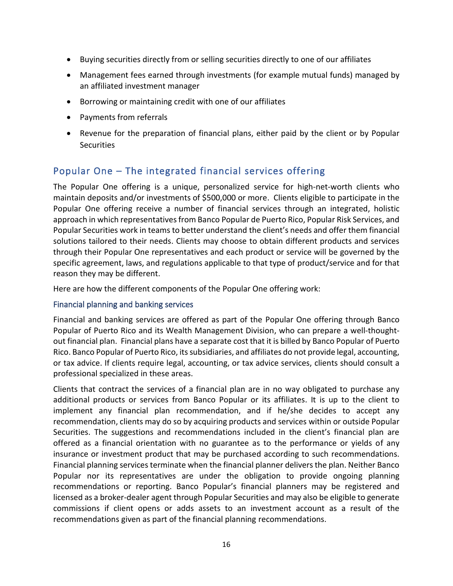- Buying securities directly from or selling securities directly to one of our affiliates
- Management fees earned through investments (for example mutual funds) managed by an affiliated investment manager
- Borrowing or maintaining credit with one of our affiliates
- Payments from referrals
- Revenue for the preparation of financial plans, either paid by the client or by Popular **Securities**

### <span id="page-18-0"></span>Popular One – The integrated financial services offering

The Popular One offering is a unique, personalized service for high-net-worth clients who maintain deposits and/or investments of \$500,000 or more. Clients eligible to participate in the Popular One offering receive a number of financial services through an integrated, holistic approach in which representatives from Banco Popular de Puerto Rico, Popular Risk Services, and Popular Securities work in teams to better understand the client's needs and offer them financial solutions tailored to their needs. Clients may choose to obtain different products and services through their Popular One representatives and each product or service will be governed by the specific agreement, laws, and regulations applicable to that type of product/service and for that reason they may be different.

Here are how the different components of the Popular One offering work:

#### <span id="page-18-1"></span>Financial planning and banking services

Financial and banking services are offered as part of the Popular One offering through Banco Popular of Puerto Rico and its Wealth Management Division, who can prepare a well-thoughtout financial plan. Financial plans have a separate cost that it is billed by Banco Popular of Puerto Rico. Banco Popular of Puerto Rico, its subsidiaries, and affiliates do not provide legal, accounting, or tax advice. If clients require legal, accounting, or tax advice services, clients should consult a professional specialized in these areas.

Clients that contract the services of a financial plan are in no way obligated to purchase any additional products or services from Banco Popular or its affiliates. It is up to the client to implement any financial plan recommendation, and if he/she decides to accept any recommendation, clients may do so by acquiring products and services within or outside Popular Securities. The suggestions and recommendations included in the client's financial plan are offered as a financial orientation with no guarantee as to the performance or yields of any insurance or investment product that may be purchased according to such recommendations. Financial planning services terminate when the financial planner delivers the plan. Neither Banco Popular nor its representatives are under the obligation to provide ongoing planning recommendations or reporting. Banco Popular's financial planners may be registered and licensed as a broker-dealer agent through Popular Securities and may also be eligible to generate commissions if client opens or adds assets to an investment account as a result of the recommendations given as part of the financial planning recommendations.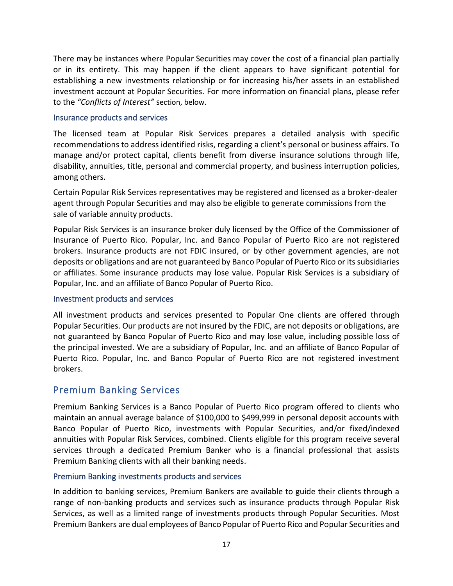There may be instances where Popular Securities may cover the cost of a financial plan partially or in its entirety. This may happen if the client appears to have significant potential for establishing a new investments relationship or for increasing his/her assets in an established investment account at Popular Securities. For more information on financial plans, please refer to the *"Conflicts of Interest"* section, below.

#### <span id="page-19-0"></span>Insurance products and services

The licensed team at Popular Risk Services prepares a detailed analysis with specific recommendations to address identified risks, regarding a client's personal or business affairs. To manage and/or protect capital, clients benefit from diverse insurance solutions through life, disability, annuities, title, personal and commercial property, and business interruption policies, among others.

Certain Popular Risk Services representatives may be registered and licensed as a broker-dealer agent through Popular Securities and may also be eligible to generate commissions from the sale of variable annuity products.

Popular Risk Services is an insurance broker duly licensed by the Office of the Commissioner of Insurance of Puerto Rico. Popular, Inc. and Banco Popular of Puerto Rico are not registered brokers. Insurance products are not FDIC insured, or by other government agencies, are not deposits or obligations and are not guaranteed by Banco Popular of Puerto Rico or its subsidiaries or affiliates. Some insurance products may lose value. Popular Risk Services is a subsidiary of Popular, Inc. and an affiliate of Banco Popular of Puerto Rico.

#### <span id="page-19-1"></span>Investment products and services

All investment products and services presented to Popular One clients are offered through Popular Securities. Our products are not insured by the FDIC, are not deposits or obligations, are not guaranteed by Banco Popular of Puerto Rico and may lose value, including possible loss of the principal invested. We are a subsidiary of Popular, Inc. and an affiliate of Banco Popular of Puerto Rico. Popular, Inc. and Banco Popular of Puerto Rico are not registered investment brokers.

### <span id="page-19-2"></span>Premium Banking Services

Premium Banking Services is a Banco Popular of Puerto Rico program offered to clients who maintain an annual average balance of \$100,000 to \$499,999 in personal deposit accounts with Banco Popular of Puerto Rico, investments with Popular Securities, and/or fixed/indexed annuities with Popular Risk Services, combined. Clients eligible for this program receive several services through a dedicated Premium Banker who is a financial professional that assists Premium Banking clients with all their banking needs.

#### <span id="page-19-3"></span>Premium Banking investments products and services

In addition to banking services, Premium Bankers are available to guide their clients through a range of non-banking products and services such as insurance products through Popular Risk Services, as well as a limited range of investments products through Popular Securities. Most Premium Bankers are dual employees of Banco Popular of Puerto Rico and Popular Securities and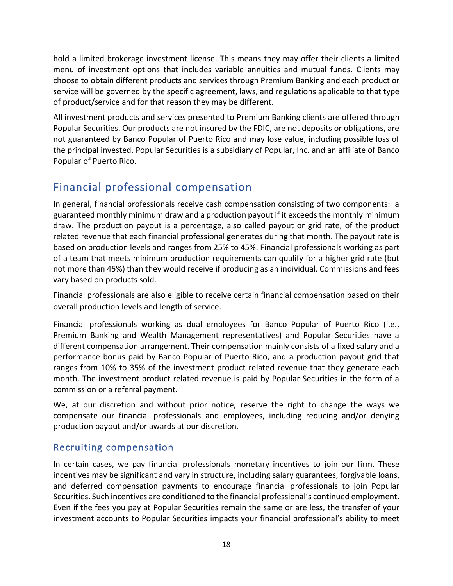hold a limited brokerage investment license. This means they may offer their clients a limited menu of investment options that includes variable annuities and mutual funds. Clients may choose to obtain different products and services through Premium Banking and each product or service will be governed by the specific agreement, laws, and regulations applicable to that type of product/service and for that reason they may be different.

All investment products and services presented to Premium Banking clients are offered through Popular Securities. Our products are not insured by the FDIC, are not deposits or obligations, are not guaranteed by Banco Popular of Puerto Rico and may lose value, including possible loss of the principal invested. Popular Securities is a subsidiary of Popular, Inc. and an affiliate of Banco Popular of Puerto Rico.

### <span id="page-20-0"></span>Financial professional compensation

In general, financial professionals receive cash compensation consisting of two components: a guaranteed monthly minimum draw and a production payout if it exceeds the monthly minimum draw. The production payout is a percentage, also called payout or grid rate, of the product related revenue that each financial professional generates during that month. The payout rate is based on production levels and ranges from 25% to 45%. Financial professionals working as part of a team that meets minimum production requirements can qualify for a higher grid rate (but not more than 45%) than they would receive if producing as an individual. Commissions and fees vary based on products sold.

Financial professionals are also eligible to receive certain financial compensation based on their overall production levels and length of service.

Financial professionals working as dual employees for Banco Popular of Puerto Rico (i.e., Premium Banking and Wealth Management representatives) and Popular Securities have a different compensation arrangement. Their compensation mainly consists of a fixed salary and a performance bonus paid by Banco Popular of Puerto Rico, and a production payout grid that ranges from 10% to 35% of the investment product related revenue that they generate each month. The investment product related revenue is paid by Popular Securities in the form of a commission or a referral payment.

We, at our discretion and without prior notice, reserve the right to change the ways we compensate our financial professionals and employees, including reducing and/or denying production payout and/or awards at our discretion.

### <span id="page-20-1"></span>Recruiting compensation

In certain cases, we pay financial professionals monetary incentives to join our firm. These incentives may be significant and vary in structure, including salary guarantees, forgivable loans, and deferred compensation payments to encourage financial professionals to join Popular Securities. Such incentives are conditioned to the financial professional's continued employment. Even if the fees you pay at Popular Securities remain the same or are less, the transfer of your investment accounts to Popular Securities impacts your financial professional's ability to meet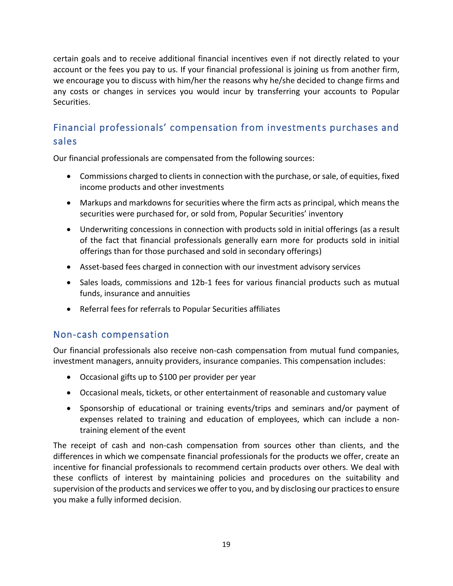certain goals and to receive additional financial incentives even if not directly related to your account or the fees you pay to us. If your financial professional is joining us from another firm, we encourage you to discuss with him/her the reasons why he/she decided to change firms and any costs or changes in services you would incur by transferring your accounts to Popular Securities.

### <span id="page-21-0"></span>Financial professionals' compensation from investments purchases and sales

Our financial professionals are compensated from the following sources:

- Commissions charged to clients in connection with the purchase, or sale, of equities, fixed income products and other investments
- Markups and markdowns for securities where the firm acts as principal, which means the securities were purchased for, or sold from, Popular Securities' inventory
- Underwriting concessions in connection with products sold in initial offerings (as a result of the fact that financial professionals generally earn more for products sold in initial offerings than for those purchased and sold in secondary offerings)
- Asset-based fees charged in connection with our investment advisory services
- Sales loads, commissions and 12b-1 fees for various financial products such as mutual funds, insurance and annuities
- Referral fees for referrals to Popular Securities affiliates

### <span id="page-21-1"></span>Non-cash compensation

Our financial professionals also receive non-cash compensation from mutual fund companies, investment managers, annuity providers, insurance companies. This compensation includes:

- Occasional gifts up to \$100 per provider per year
- Occasional meals, tickets, or other entertainment of reasonable and customary value
- Sponsorship of educational or training events/trips and seminars and/or payment of expenses related to training and education of employees, which can include a nontraining element of the event

The receipt of cash and non-cash compensation from sources other than clients, and the differences in which we compensate financial professionals for the products we offer, create an incentive for financial professionals to recommend certain products over others. We deal with these conflicts of interest by maintaining policies and procedures on the suitability and supervision of the products and services we offer to you, and by disclosing our practices to ensure you make a fully informed decision.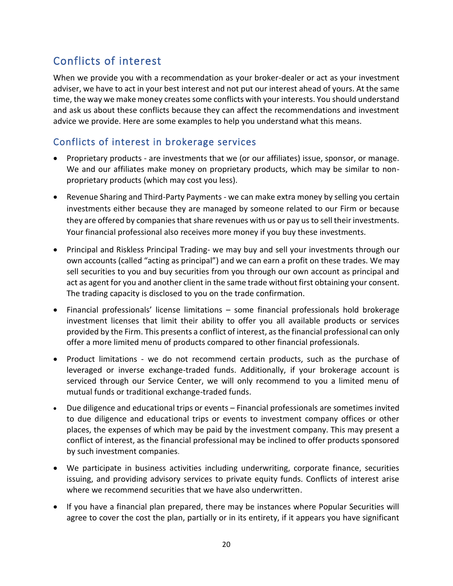### <span id="page-22-0"></span>Conflicts of interest

When we provide you with a recommendation as your broker-dealer or act as your investment adviser, we have to act in your best interest and not put our interest ahead of yours. At the same time, the way we make money creates some conflicts with your interests. You should understand and ask us about these conflicts because they can affect the recommendations and investment advice we provide. Here are some examples to help you understand what this means.

### <span id="page-22-1"></span>Conflicts of interest in brokerage services

- Proprietary products are investments that we (or our affiliates) issue, sponsor, or manage. We and our affiliates make money on proprietary products, which may be similar to nonproprietary products (which may cost you less).
- Revenue Sharing and Third-Party Payments we can make extra money by selling you certain investments either because they are managed by someone related to our Firm or because they are offered by companies that share revenues with us or pay us to sell their investments. Your financial professional also receives more money if you buy these investments.
- Principal and Riskless Principal Trading- we may buy and sell your investments through our own accounts (called "acting as principal") and we can earn a profit on these trades. We may sell securities to you and buy securities from you through our own account as principal and act as agent for you and another client in the same trade without first obtaining your consent. The trading capacity is disclosed to you on the trade confirmation.
- Financial professionals' license limitations some financial professionals hold brokerage investment licenses that limit their ability to offer you all available products or services provided by the Firm. This presents a conflict of interest, as the financial professional can only offer a more limited menu of products compared to other financial professionals.
- Product limitations we do not recommend certain products, such as the purchase of leveraged or inverse exchange-traded funds. Additionally, if your brokerage account is serviced through our Service Center, we will only recommend to you a limited menu of mutual funds or traditional exchange-traded funds.
- Due diligence and educational trips or events Financial professionals are sometimes invited to due diligence and educational trips or events to investment company offices or other places, the expenses of which may be paid by the investment company. This may present a conflict of interest, as the financial professional may be inclined to offer products sponsored by such investment companies.
- We participate in business activities including underwriting, corporate finance, securities issuing, and providing advisory services to private equity funds. Conflicts of interest arise where we recommend securities that we have also underwritten.
- If you have a financial plan prepared, there may be instances where Popular Securities will agree to cover the cost the plan, partially or in its entirety, if it appears you have significant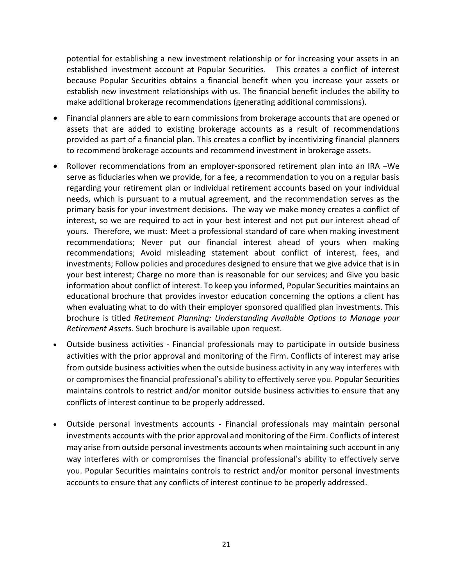potential for establishing a new investment relationship or for increasing your assets in an established investment account at Popular Securities. This creates a conflict of interest because Popular Securities obtains a financial benefit when you increase your assets or establish new investment relationships with us. The financial benefit includes the ability to make additional brokerage recommendations (generating additional commissions).

- Financial planners are able to earn commissions from brokerage accounts that are opened or assets that are added to existing brokerage accounts as a result of recommendations provided as part of a financial plan. This creates a conflict by incentivizing financial planners to recommend brokerage accounts and recommend investment in brokerage assets.
- Rollover recommendations from an employer-sponsored retirement plan into an IRA –We serve as fiduciaries when we provide, for a fee, a recommendation to you on a regular basis regarding your retirement plan or individual retirement accounts based on your individual needs, which is pursuant to a mutual agreement, and the recommendation serves as the primary basis for your investment decisions. The way we make money creates a conflict of interest, so we are required to act in your best interest and not put our interest ahead of yours. Therefore, we must: Meet a professional standard of care when making investment recommendations; Never put our financial interest ahead of yours when making recommendations; Avoid misleading statement about conflict of interest, fees, and investments; Follow policies and procedures designed to ensure that we give advice that is in your best interest; Charge no more than is reasonable for our services; and Give you basic information about conflict of interest. To keep you informed, Popular Securities maintains an educational brochure that provides investor education concerning the options a client has when evaluating what to do with their employer sponsored qualified plan investments. This brochure is titled *Retirement Planning: Understanding Available Options to Manage your Retirement Assets*. Such brochure is available upon request.
- Outside business activities Financial professionals may to participate in outside business activities with the prior approval and monitoring of the Firm. Conflicts of interest may arise from outside business activities when the outside business activity in any way interferes with or compromisesthe financial professional's ability to effectively serve you. Popular Securities maintains controls to restrict and/or monitor outside business activities to ensure that any conflicts of interest continue to be properly addressed.
- Outside personal investments accounts Financial professionals may maintain personal investments accounts with the prior approval and monitoring of the Firm. Conflicts of interest may arise from outside personal investments accounts when maintaining such account in any way interferes with or compromises the financial professional's ability to effectively serve you. Popular Securities maintains controls to restrict and/or monitor personal investments accounts to ensure that any conflicts of interest continue to be properly addressed.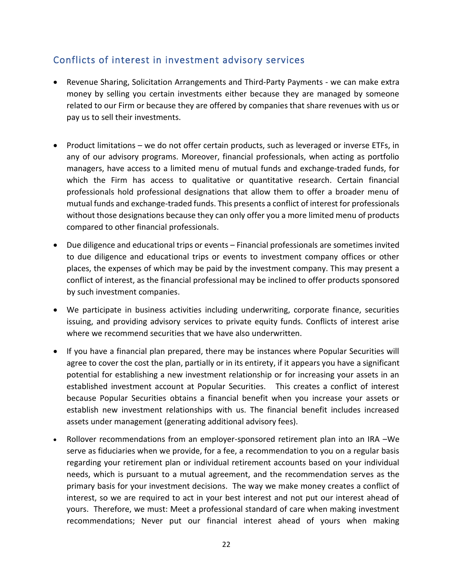### <span id="page-24-0"></span>Conflicts of interest in investment advisory services

- Revenue Sharing, Solicitation Arrangements and Third-Party Payments we can make extra money by selling you certain investments either because they are managed by someone related to our Firm or because they are offered by companies that share revenues with us or pay us to sell their investments.
- Product limitations we do not offer certain products, such as leveraged or inverse ETFs, in any of our advisory programs. Moreover, financial professionals, when acting as portfolio managers, have access to a limited menu of mutual funds and exchange-traded funds, for which the Firm has access to qualitative or quantitative research. Certain financial professionals hold professional designations that allow them to offer a broader menu of mutual funds and exchange-traded funds. This presents a conflict of interest for professionals without those designations because they can only offer you a more limited menu of products compared to other financial professionals.
- Due diligence and educational trips or events Financial professionals are sometimes invited to due diligence and educational trips or events to investment company offices or other places, the expenses of which may be paid by the investment company. This may present a conflict of interest, as the financial professional may be inclined to offer products sponsored by such investment companies.
- We participate in business activities including underwriting, corporate finance, securities issuing, and providing advisory services to private equity funds. Conflicts of interest arise where we recommend securities that we have also underwritten.
- If you have a financial plan prepared, there may be instances where Popular Securities will agree to cover the cost the plan, partially or in its entirety, if it appears you have a significant potential for establishing a new investment relationship or for increasing your assets in an established investment account at Popular Securities. This creates a conflict of interest because Popular Securities obtains a financial benefit when you increase your assets or establish new investment relationships with us. The financial benefit includes increased assets under management (generating additional advisory fees).
- Rollover recommendations from an employer-sponsored retirement plan into an IRA –We serve as fiduciaries when we provide, for a fee, a recommendation to you on a regular basis regarding your retirement plan or individual retirement accounts based on your individual needs, which is pursuant to a mutual agreement, and the recommendation serves as the primary basis for your investment decisions. The way we make money creates a conflict of interest, so we are required to act in your best interest and not put our interest ahead of yours. Therefore, we must: Meet a professional standard of care when making investment recommendations; Never put our financial interest ahead of yours when making